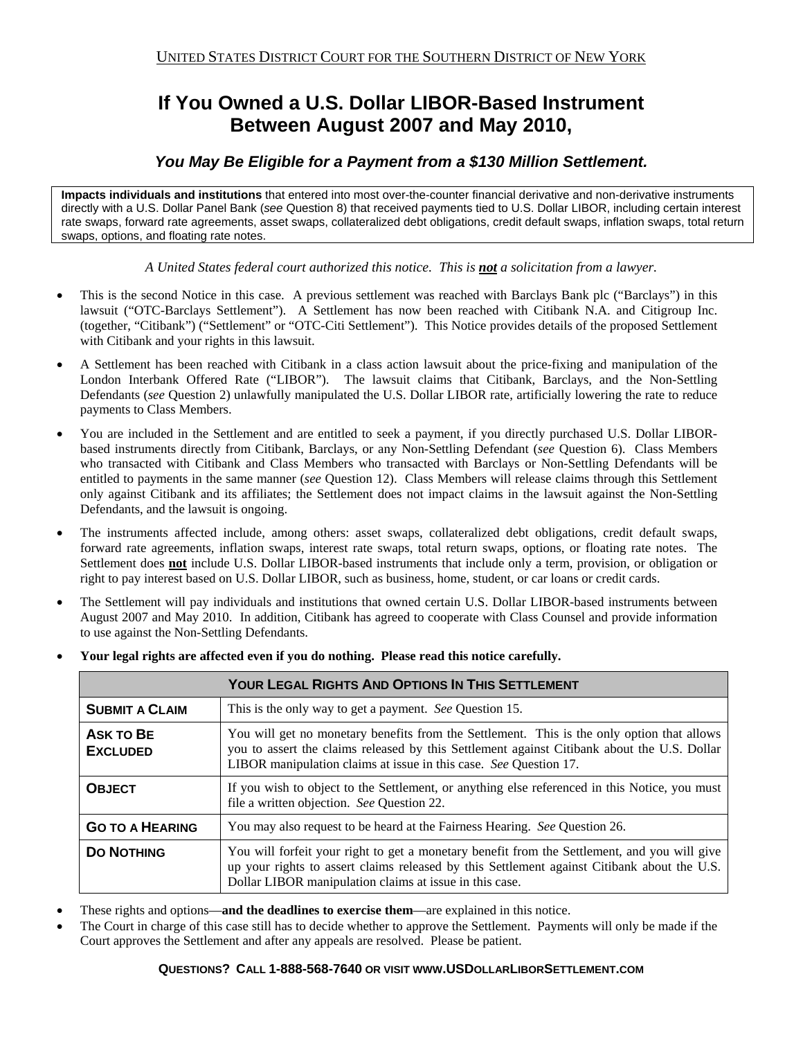# **If You Owned a U.S. Dollar LIBOR-Based Instrument Between August 2007 and May 2010,**

# *You May Be Eligible for a Payment from a \$130 Million Settlement.*

**Impacts individuals and institutions** that entered into most over-the-counter financial derivative and non-derivative instruments directly with a U.S. Dollar Panel Bank (*see* Question 8) that received payments tied to U.S. Dollar LIBOR, including certain interest rate swaps, forward rate agreements, asset swaps, collateralized debt obligations, credit default swaps, inflation swaps, total return swaps, options, and floating rate notes.

*A United States federal court authorized this notice. This is not a solicitation from a lawyer.* 

- This is the second Notice in this case. A previous settlement was reached with Barclays Bank plc ("Barclays") in this lawsuit ("OTC-Barclays Settlement"). A Settlement has now been reached with Citibank N.A. and Citigroup Inc. (together, "Citibank") ("Settlement" or "OTC-Citi Settlement"). This Notice provides details of the proposed Settlement with Citibank and your rights in this lawsuit.
- A Settlement has been reached with Citibank in a class action lawsuit about the price-fixing and manipulation of the London Interbank Offered Rate ("LIBOR"). The lawsuit claims that Citibank, Barclays, and the Non-Settling Defendants (*see* Question 2) unlawfully manipulated the U.S. Dollar LIBOR rate, artificially lowering the rate to reduce payments to Class Members.
- You are included in the Settlement and are entitled to seek a payment, if you directly purchased U.S. Dollar LIBORbased instruments directly from Citibank, Barclays, or any Non-Settling Defendant (*see* Question 6). Class Members who transacted with Citibank and Class Members who transacted with Barclays or Non-Settling Defendants will be entitled to payments in the same manner (*see* Question 12). Class Members will release claims through this Settlement only against Citibank and its affiliates; the Settlement does not impact claims in the lawsuit against the Non-Settling Defendants, and the lawsuit is ongoing.
- The instruments affected include, among others: asset swaps, collateralized debt obligations, credit default swaps, forward rate agreements, inflation swaps, interest rate swaps, total return swaps, options, or floating rate notes. The Settlement does **not** include U.S. Dollar LIBOR-based instruments that include only a term, provision, or obligation or right to pay interest based on U.S. Dollar LIBOR, such as business, home, student, or car loans or credit cards.
- The Settlement will pay individuals and institutions that owned certain U.S. Dollar LIBOR-based instruments between August 2007 and May 2010. In addition, Citibank has agreed to cooperate with Class Counsel and provide information to use against the Non-Settling Defendants.

| <b>YOUR LEGAL RIGHTS AND OPTIONS IN THIS SETTLEMENT</b> |                                                                                                                                                                                                                                                                |  |
|---------------------------------------------------------|----------------------------------------------------------------------------------------------------------------------------------------------------------------------------------------------------------------------------------------------------------------|--|
| <b>SUBMIT A CLAIM</b>                                   | This is the only way to get a payment. See Question 15.                                                                                                                                                                                                        |  |
| <b>ASK TO BE</b><br><b>EXCLUDED</b>                     | You will get no monetary benefits from the Settlement. This is the only option that allows<br>you to assert the claims released by this Settlement against Citibank about the U.S. Dollar<br>LIBOR manipulation claims at issue in this case. See Question 17. |  |
| <b>OBJECT</b>                                           | If you wish to object to the Settlement, or anything else referenced in this Notice, you must<br>file a written objection. See Question 22.                                                                                                                    |  |
| <b>GO TO A HEARING</b>                                  | You may also request to be heard at the Fairness Hearing. See Question 26.                                                                                                                                                                                     |  |
| <b>DO NOTHING</b>                                       | You will forfeit your right to get a monetary benefit from the Settlement, and you will give<br>up your rights to assert claims released by this Settlement against Citibank about the U.S.<br>Dollar LIBOR manipulation claims at issue in this case.         |  |

**Your legal rights are affected even if you do nothing. Please read this notice carefully.**

- These rights and options—**and the deadlines to exercise them**—are explained in this notice.
- The Court in charge of this case still has to decide whether to approve the Settlement. Payments will only be made if the Court approves the Settlement and after any appeals are resolved. Please be patient.

#### **QUESTIONS? CALL 1-888-568-7640 OR VISIT WWW.USDOLLARLIBORSETTLEMENT.COM**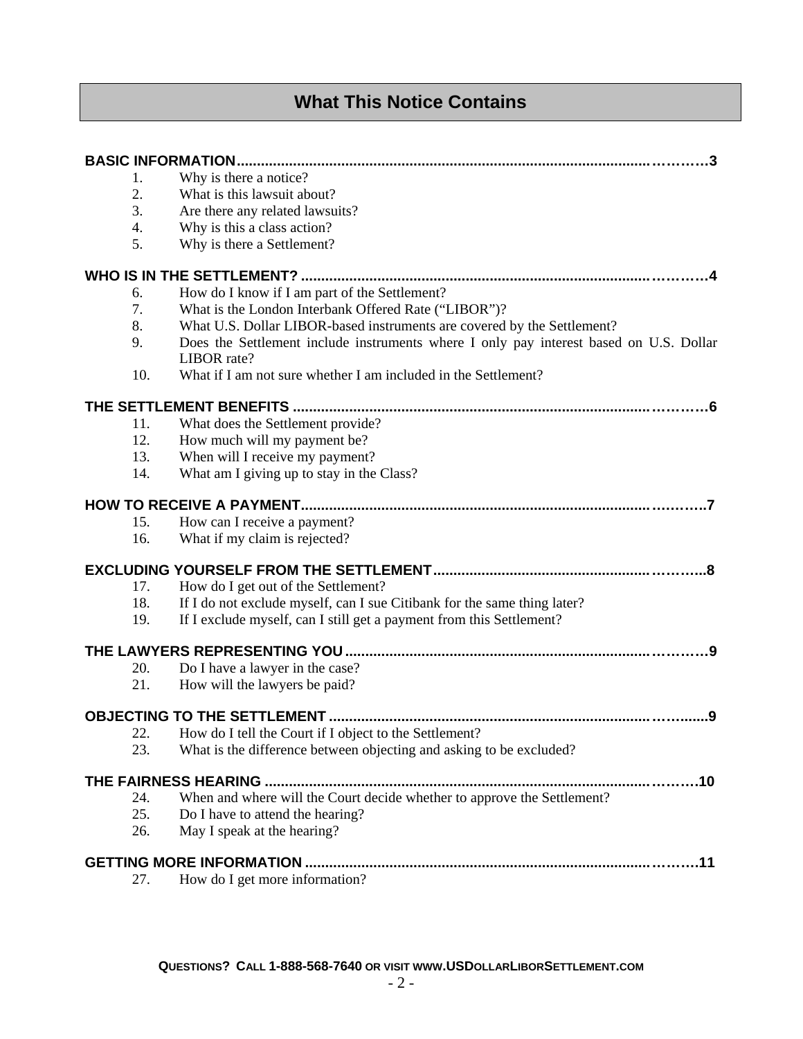# **What This Notice Contains**

| 1.  | Why is there a notice?                                                                                |  |  |
|-----|-------------------------------------------------------------------------------------------------------|--|--|
| 2.  | What is this lawsuit about?                                                                           |  |  |
| 3.  | Are there any related lawsuits?                                                                       |  |  |
| 4.  | Why is this a class action?                                                                           |  |  |
| 5.  | Why is there a Settlement?                                                                            |  |  |
|     |                                                                                                       |  |  |
| 6.  | How do I know if I am part of the Settlement?                                                         |  |  |
| 7.  | What is the London Interbank Offered Rate ("LIBOR")?                                                  |  |  |
| 8.  | What U.S. Dollar LIBOR-based instruments are covered by the Settlement?                               |  |  |
| 9.  | Does the Settlement include instruments where I only pay interest based on U.S. Dollar<br>LIBOR rate? |  |  |
| 10. | What if I am not sure whether I am included in the Settlement?                                        |  |  |
|     |                                                                                                       |  |  |
| 11. | What does the Settlement provide?                                                                     |  |  |
| 12. | How much will my payment be?                                                                          |  |  |
| 13. | When will I receive my payment?                                                                       |  |  |
| 14. | What am I giving up to stay in the Class?                                                             |  |  |
|     |                                                                                                       |  |  |
| 15. | How can I receive a payment?                                                                          |  |  |
| 16. | What if my claim is rejected?                                                                         |  |  |
|     |                                                                                                       |  |  |
| 17. | How do I get out of the Settlement?                                                                   |  |  |
| 18. | If I do not exclude myself, can I sue Citibank for the same thing later?                              |  |  |
| 19. | If I exclude myself, can I still get a payment from this Settlement?                                  |  |  |
|     | <u>ှ</u> ရ                                                                                            |  |  |
| 20. | Do I have a lawyer in the case?                                                                       |  |  |
| 21. | How will the lawyers be paid?                                                                         |  |  |
|     |                                                                                                       |  |  |
| 22. | How do I tell the Court if I object to the Settlement?                                                |  |  |
| 23. | What is the difference between objecting and asking to be excluded?                                   |  |  |
|     |                                                                                                       |  |  |
| 24. | When and where will the Court decide whether to approve the Settlement?                               |  |  |
| 25. | Do I have to attend the hearing?                                                                      |  |  |
| 26. | May I speak at the hearing?                                                                           |  |  |
| .11 |                                                                                                       |  |  |
| 27. | How do I get more information?                                                                        |  |  |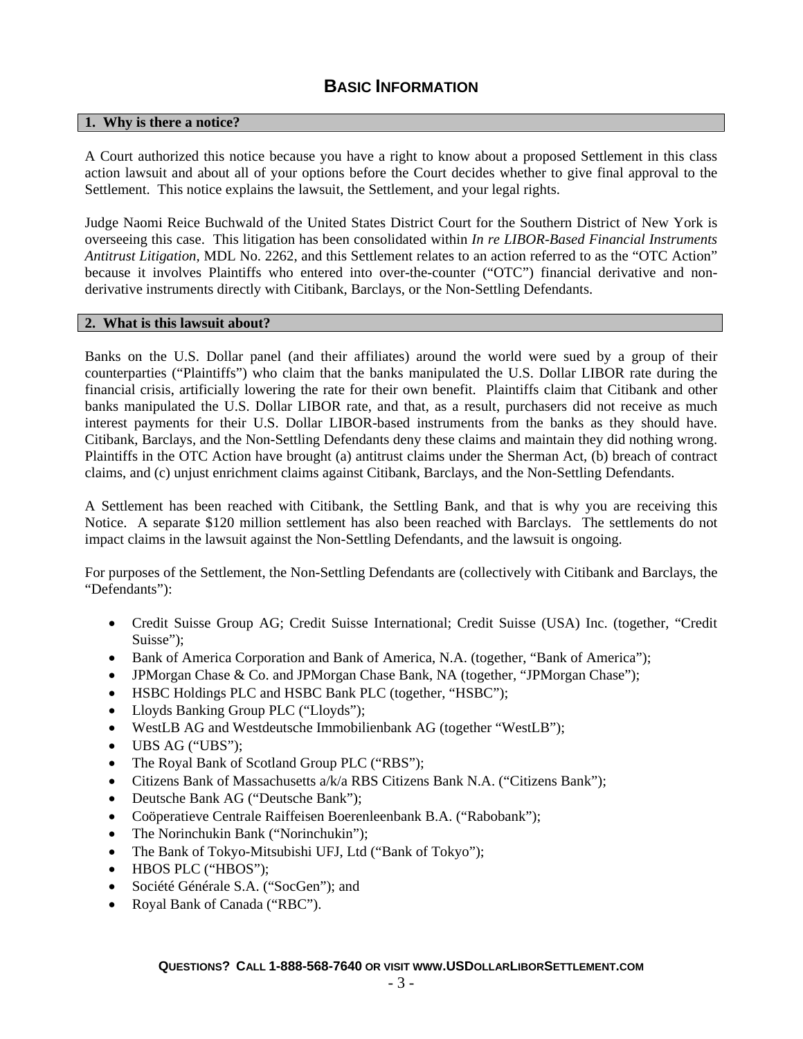# **BASIC INFORMATION**

### **1. Why is there a notice?**

A Court authorized this notice because you have a right to know about a proposed Settlement in this class action lawsuit and about all of your options before the Court decides whether to give final approval to the Settlement. This notice explains the lawsuit, the Settlement, and your legal rights.

Judge Naomi Reice Buchwald of the United States District Court for the Southern District of New York is overseeing this case. This litigation has been consolidated within *In re LIBOR-Based Financial Instruments Antitrust Litigation,* MDL No. 2262, and this Settlement relates to an action referred to as the "OTC Action" because it involves Plaintiffs who entered into over-the-counter ("OTC") financial derivative and nonderivative instruments directly with Citibank, Barclays, or the Non-Settling Defendants.

#### **2. What is this lawsuit about?**

Banks on the U.S. Dollar panel (and their affiliates) around the world were sued by a group of their counterparties ("Plaintiffs") who claim that the banks manipulated the U.S. Dollar LIBOR rate during the financial crisis, artificially lowering the rate for their own benefit. Plaintiffs claim that Citibank and other banks manipulated the U.S. Dollar LIBOR rate, and that, as a result, purchasers did not receive as much interest payments for their U.S. Dollar LIBOR-based instruments from the banks as they should have. Citibank, Barclays, and the Non-Settling Defendants deny these claims and maintain they did nothing wrong. Plaintiffs in the OTC Action have brought (a) antitrust claims under the Sherman Act, (b) breach of contract claims, and (c) unjust enrichment claims against Citibank, Barclays, and the Non-Settling Defendants.

A Settlement has been reached with Citibank, the Settling Bank, and that is why you are receiving this Notice. A separate \$120 million settlement has also been reached with Barclays. The settlements do not impact claims in the lawsuit against the Non-Settling Defendants, and the lawsuit is ongoing.

For purposes of the Settlement, the Non-Settling Defendants are (collectively with Citibank and Barclays, the "Defendants"):

- Credit Suisse Group AG; Credit Suisse International; Credit Suisse (USA) Inc. (together, "Credit Suisse");
- Bank of America Corporation and Bank of America, N.A. (together, "Bank of America");
- JPMorgan Chase & Co. and JPMorgan Chase Bank, NA (together, "JPMorgan Chase");
- HSBC Holdings PLC and HSBC Bank PLC (together, "HSBC");
- Lloyds Banking Group PLC ("Lloyds");
- WestLB AG and Westdeutsche Immobilienbank AG (together "WestLB");
- UBS AG ("UBS");
- The Royal Bank of Scotland Group PLC ("RBS");
- Citizens Bank of Massachusetts a/k/a RBS Citizens Bank N.A. ("Citizens Bank");
- Deutsche Bank AG ("Deutsche Bank");
- Coöperatieve Centrale Raiffeisen Boerenleenbank B.A. ("Rabobank");
- The Norinchukin Bank ("Norinchukin");
- The Bank of Tokyo-Mitsubishi UFJ, Ltd ("Bank of Tokyo");
- HBOS PLC ("HBOS");
- Société Générale S.A. ("SocGen"); and
- Royal Bank of Canada ("RBC").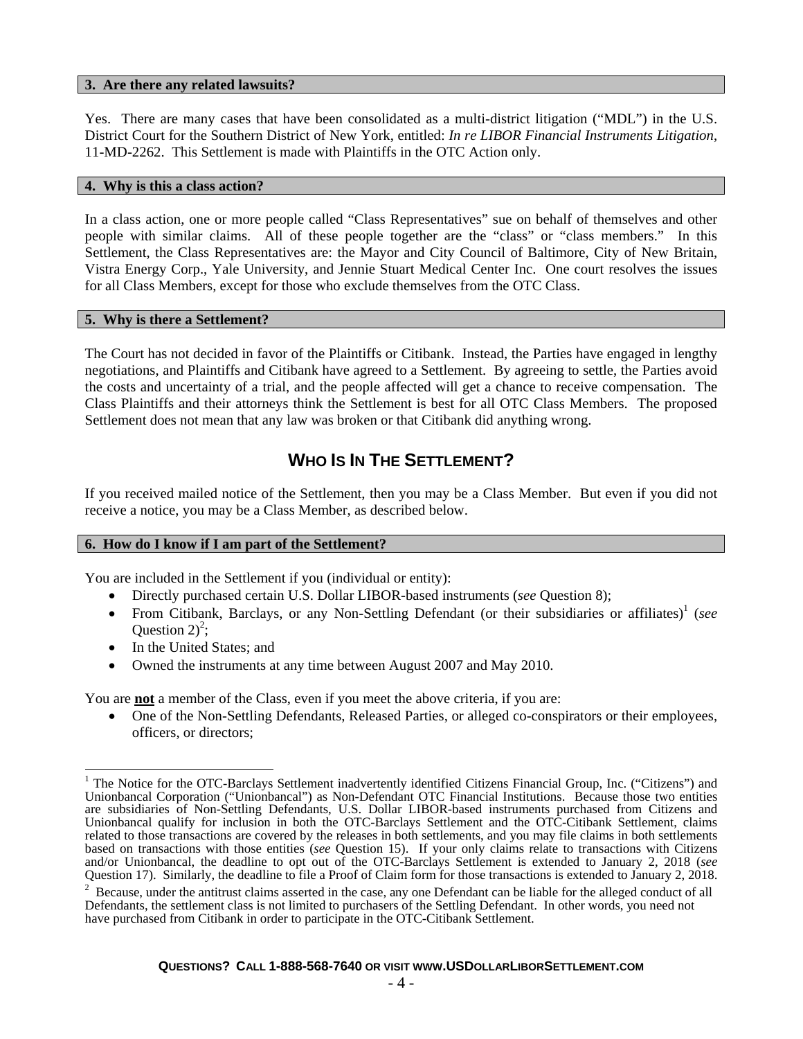#### **3. Are there any related lawsuits?**

Yes. There are many cases that have been consolidated as a multi-district litigation ("MDL") in the U.S. District Court for the Southern District of New York, entitled: *In re LIBOR Financial Instruments Litigation*, 11-MD-2262. This Settlement is made with Plaintiffs in the OTC Action only.

#### **4. Why is this a class action?**

In a class action, one or more people called "Class Representatives" sue on behalf of themselves and other people with similar claims. All of these people together are the "class" or "class members." In this Settlement, the Class Representatives are: the Mayor and City Council of Baltimore, City of New Britain, Vistra Energy Corp., Yale University, and Jennie Stuart Medical Center Inc. One court resolves the issues for all Class Members, except for those who exclude themselves from the OTC Class.

#### **5. Why is there a Settlement?**

The Court has not decided in favor of the Plaintiffs or Citibank. Instead, the Parties have engaged in lengthy negotiations, and Plaintiffs and Citibank have agreed to a Settlement. By agreeing to settle, the Parties avoid the costs and uncertainty of a trial, and the people affected will get a chance to receive compensation. The Class Plaintiffs and their attorneys think the Settlement is best for all OTC Class Members. The proposed Settlement does not mean that any law was broken or that Citibank did anything wrong.

# **WHO IS IN THE SETTLEMENT?**

If you received mailed notice of the Settlement, then you may be a Class Member. But even if you did not receive a notice, you may be a Class Member, as described below.

#### **6. How do I know if I am part of the Settlement?**

You are included in the Settlement if you (individual or entity):

- Directly purchased certain U.S. Dollar LIBOR-based instruments (*see* Question 8);
- From Citibank, Barclays, or any Non-Settling Defendant (or their subsidiaries or affiliates)<sup>1</sup> (see Question  $2)^2$ ;
- In the United States; and
- Owned the instruments at any time between August 2007 and May 2010.

You are **not** a member of the Class, even if you meet the above criteria, if you are:

 One of the Non-Settling Defendants, Released Parties, or alleged co-conspirators or their employees, officers, or directors;

 $\mathbf{r}$ <sup>1</sup> The Notice for the OTC-Barclays Settlement inadvertently identified Citizens Financial Group, Inc. ("Citizens") and Unionbancal Corporation ("Unionbancal") as Non-Defendant OTC Financial Institutions. Because those two entities are subsidiaries of Non-Settling Defendants, U.S. Dollar LIBOR-based instruments purchased from Citizens and Unionbancal qualify for inclusion in both the OTC-Barclays Settlement and the OTC-Citibank Settlement, claims related to those transactions are covered by the releases in both settlements, and you may file claims in both settlements based on transactions with those entities (*see* Question 15). If your only claims relate to transactions with Citizens and/or Unionbancal, the deadline to opt out of the OTC-Barclays Settlement is extended to January 2, 2018 (*see* Question 17). Similarly, the deadline to file a Proof of Claim form for those transactions is extended to January 2, 2018. 2

 $2$  Because, under the antitrust claims asserted in the case, any one Defendant can be liable for the alleged conduct of all Defendants, the settlement class is not limited to purchasers of the Settling Defendant. In other words, you need not have purchased from Citibank in order to participate in the OTC-Citibank Settlement.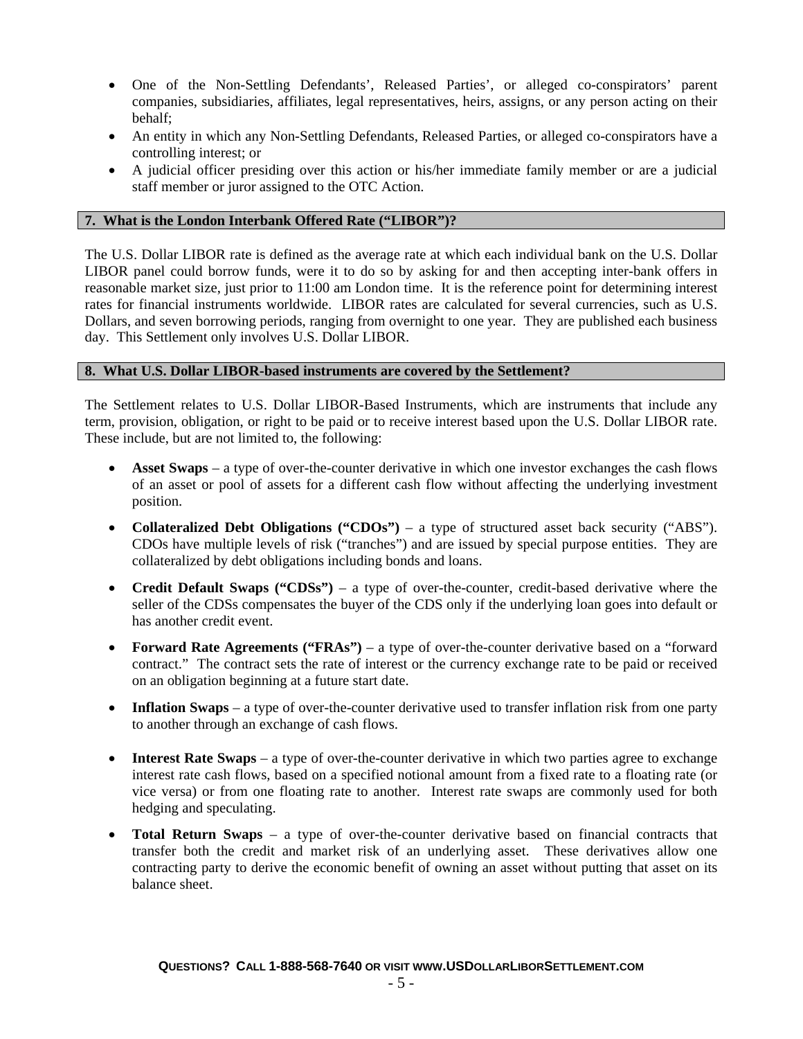- One of the Non-Settling Defendants', Released Parties', or alleged co-conspirators' parent companies, subsidiaries, affiliates, legal representatives, heirs, assigns, or any person acting on their behalf;
- An entity in which any Non-Settling Defendants, Released Parties, or alleged co-conspirators have a controlling interest; or
- A judicial officer presiding over this action or his/her immediate family member or are a judicial staff member or juror assigned to the OTC Action.

### **7. What is the London Interbank Offered Rate ("LIBOR")?**

The U.S. Dollar LIBOR rate is defined as the average rate at which each individual bank on the U.S. Dollar LIBOR panel could borrow funds, were it to do so by asking for and then accepting inter-bank offers in reasonable market size, just prior to 11:00 am London time. It is the reference point for determining interest rates for financial instruments worldwide. LIBOR rates are calculated for several currencies, such as U.S. Dollars, and seven borrowing periods, ranging from overnight to one year. They are published each business day. This Settlement only involves U.S. Dollar LIBOR.

### **8. What U.S. Dollar LIBOR-based instruments are covered by the Settlement?**

The Settlement relates to U.S. Dollar LIBOR-Based Instruments, which are instruments that include any term, provision, obligation, or right to be paid or to receive interest based upon the U.S. Dollar LIBOR rate. These include, but are not limited to, the following:

- **Asset Swaps** a type of over-the-counter derivative in which one investor exchanges the cash flows of an asset or pool of assets for a different cash flow without affecting the underlying investment position.
- **Collateralized Debt Obligations ("CDOs")** a type of structured asset back security ("ABS"). CDOs have multiple levels of risk ("tranches") and are issued by special purpose entities. They are collateralized by debt obligations including bonds and loans.
- **Credit Default Swaps ("CDSs")** a type of over-the-counter, credit-based derivative where the seller of the CDSs compensates the buyer of the CDS only if the underlying loan goes into default or has another credit event.
- **Forward Rate Agreements ("FRAs")** a type of over-the-counter derivative based on a "forward contract." The contract sets the rate of interest or the currency exchange rate to be paid or received on an obligation beginning at a future start date.
- Inflation Swaps a type of over-the-counter derivative used to transfer inflation risk from one party to another through an exchange of cash flows.
- **Interest Rate Swaps** a type of over-the-counter derivative in which two parties agree to exchange interest rate cash flows, based on a specified notional amount from a fixed rate to a floating rate (or vice versa) or from one floating rate to another. Interest rate swaps are commonly used for both hedging and speculating.
- **Total Return Swaps** a type of over-the-counter derivative based on financial contracts that transfer both the credit and market risk of an underlying asset. These derivatives allow one contracting party to derive the economic benefit of owning an asset without putting that asset on its balance sheet.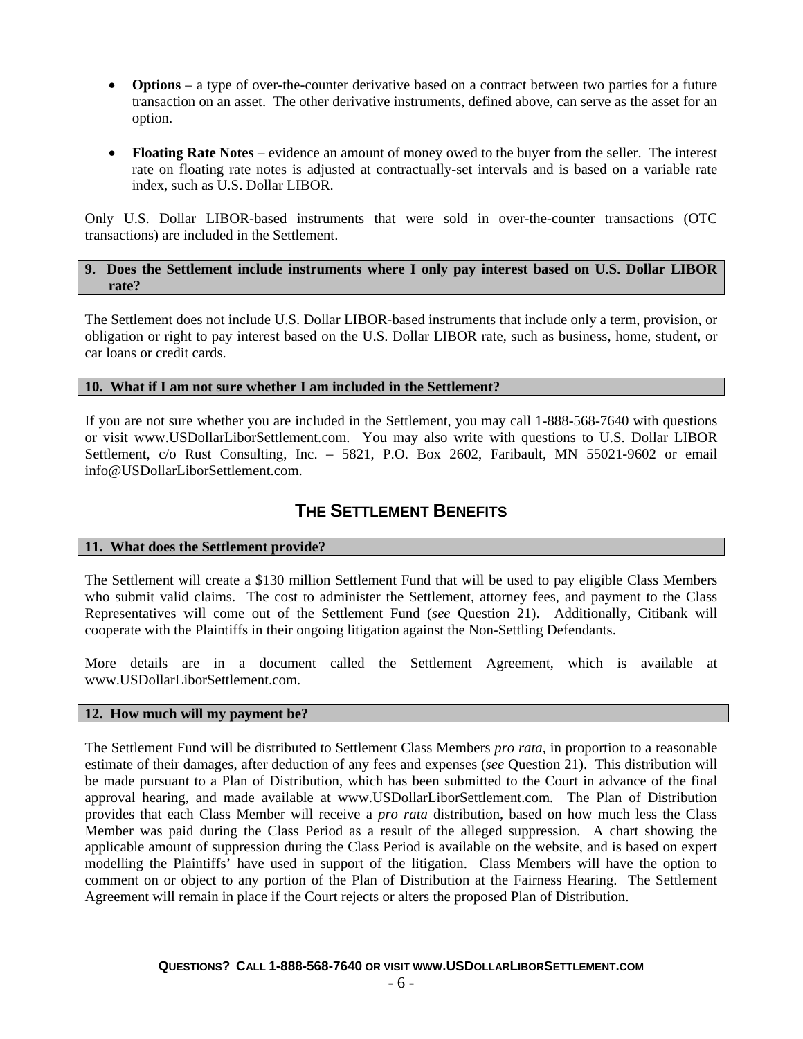- **Options** a type of over-the-counter derivative based on a contract between two parties for a future transaction on an asset. The other derivative instruments, defined above, can serve as the asset for an option.
- **Floating Rate Notes** evidence an amount of money owed to the buyer from the seller. The interest rate on floating rate notes is adjusted at contractually-set intervals and is based on a variable rate index, such as U.S. Dollar LIBOR.

Only U.S. Dollar LIBOR-based instruments that were sold in over-the-counter transactions (OTC transactions) are included in the Settlement.

### **9. Does the Settlement include instruments where I only pay interest based on U.S. Dollar LIBOR rate?**

The Settlement does not include U.S. Dollar LIBOR-based instruments that include only a term, provision, or obligation or right to pay interest based on the U.S. Dollar LIBOR rate, such as business, home, student, or car loans or credit cards.

### **10. What if I am not sure whether I am included in the Settlement?**

If you are not sure whether you are included in the Settlement, you may call 1-888-568-7640 with questions or visit www.USDollarLiborSettlement.com. You may also write with questions to U.S. Dollar LIBOR Settlement, c/o Rust Consulting, Inc. – 5821, P.O. Box 2602, Faribault, MN 55021-9602 or email info@USDollarLiborSettlement.com.

# **THE SETTLEMENT BENEFITS**

# **11. What does the Settlement provide?**

The Settlement will create a \$130 million Settlement Fund that will be used to pay eligible Class Members who submit valid claims. The cost to administer the Settlement, attorney fees, and payment to the Class Representatives will come out of the Settlement Fund (*see* Question 21). Additionally, Citibank will cooperate with the Plaintiffs in their ongoing litigation against the Non-Settling Defendants.

More details are in a document called the Settlement Agreement, which is available at www.USDollarLiborSettlement.com.

#### **12. How much will my payment be?**

The Settlement Fund will be distributed to Settlement Class Members *pro rata*, in proportion to a reasonable estimate of their damages, after deduction of any fees and expenses (*see* Question 21). This distribution will be made pursuant to a Plan of Distribution, which has been submitted to the Court in advance of the final approval hearing, and made available at www.USDollarLiborSettlement.com. The Plan of Distribution provides that each Class Member will receive a *pro rata* distribution, based on how much less the Class Member was paid during the Class Period as a result of the alleged suppression. A chart showing the applicable amount of suppression during the Class Period is available on the website, and is based on expert modelling the Plaintiffs' have used in support of the litigation. Class Members will have the option to comment on or object to any portion of the Plan of Distribution at the Fairness Hearing. The Settlement Agreement will remain in place if the Court rejects or alters the proposed Plan of Distribution.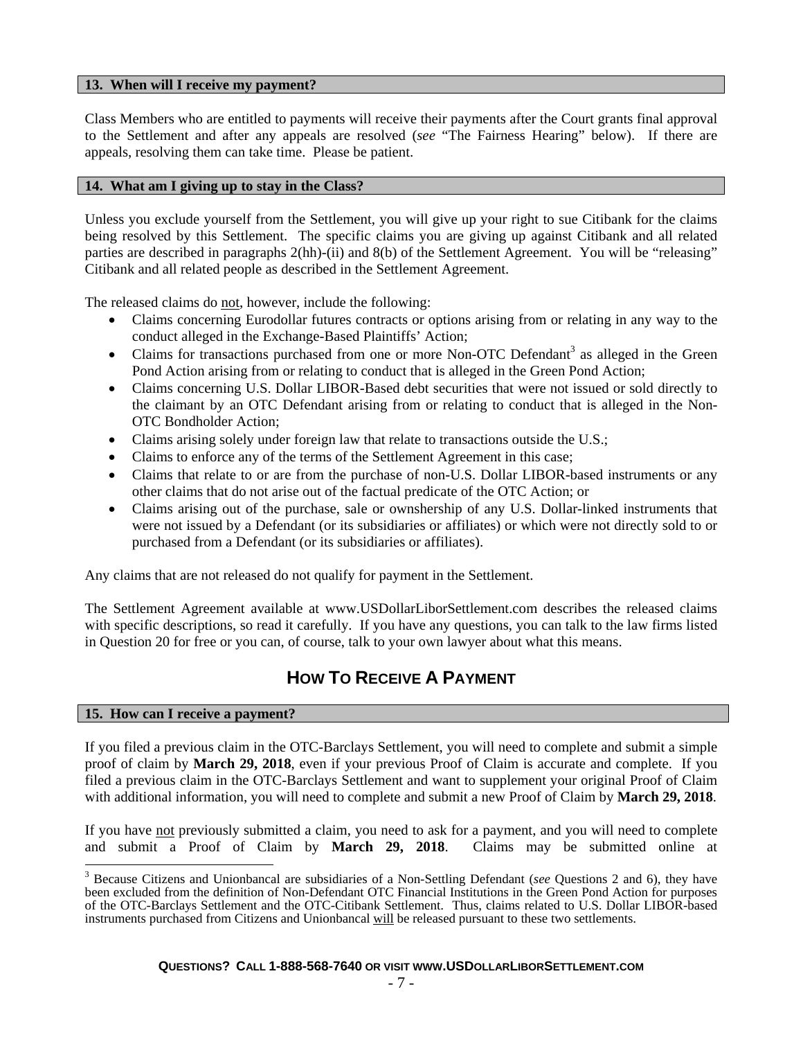#### **13. When will I receive my payment?**

Class Members who are entitled to payments will receive their payments after the Court grants final approval to the Settlement and after any appeals are resolved (*see* "The Fairness Hearing" below). If there are appeals, resolving them can take time. Please be patient.

### **14. What am I giving up to stay in the Class?**

Unless you exclude yourself from the Settlement, you will give up your right to sue Citibank for the claims being resolved by this Settlement. The specific claims you are giving up against Citibank and all related parties are described in paragraphs 2(hh)-(ii) and 8(b) of the Settlement Agreement. You will be "releasing" Citibank and all related people as described in the Settlement Agreement.

The released claims do not, however, include the following:

- Claims concerning Eurodollar futures contracts or options arising from or relating in any way to the conduct alleged in the Exchange-Based Plaintiffs' Action;
- Claims for transactions purchased from one or more Non-OTC Defendant<sup>3</sup> as alleged in the Green Pond Action arising from or relating to conduct that is alleged in the Green Pond Action;
- Claims concerning U.S. Dollar LIBOR-Based debt securities that were not issued or sold directly to the claimant by an OTC Defendant arising from or relating to conduct that is alleged in the Non-OTC Bondholder Action;
- Claims arising solely under foreign law that relate to transactions outside the U.S.;
- Claims to enforce any of the terms of the Settlement Agreement in this case;
- Claims that relate to or are from the purchase of non-U.S. Dollar LIBOR-based instruments or any other claims that do not arise out of the factual predicate of the OTC Action; or
- Claims arising out of the purchase, sale or ownshership of any U.S. Dollar-linked instruments that were not issued by a Defendant (or its subsidiaries or affiliates) or which were not directly sold to or purchased from a Defendant (or its subsidiaries or affiliates).

Any claims that are not released do not qualify for payment in the Settlement.

The Settlement Agreement available at www.USDollarLiborSettlement.com describes the released claims with specific descriptions, so read it carefully. If you have any questions, you can talk to the law firms listed in Question 20 for free or you can, of course, talk to your own lawyer about what this means.

# **HOW TO RECEIVE A PAYMENT**

# **15. How can I receive a payment?**

If you filed a previous claim in the OTC-Barclays Settlement, you will need to complete and submit a simple proof of claim by **March 29, 2018**, even if your previous Proof of Claim is accurate and complete. If you filed a previous claim in the OTC-Barclays Settlement and want to supplement your original Proof of Claim with additional information, you will need to complete and submit a new Proof of Claim by **March 29, 2018**.

If you have not previously submitted a claim, you need to ask for a payment, and you will need to complete and submit a Proof of Claim by **March 29, 2018**. Claims may be submitted online at

<sup>&</sup>lt;sup>3</sup> Because Citizens and Unionbancal are subsidiaries of a Non-Settling Defendant (*see* Questions 2 and 6), they have been excluded from the definition of Non-Defendant OTC Financial Institutions in the Green Pond Action for purposes of the OTC-Barclays Settlement and the OTC-Citibank Settlement. Thus, claims related to U.S. Dollar LIBOR-based instruments purchased from Citizens and Unionbancal will be released pursuant to these two settlements.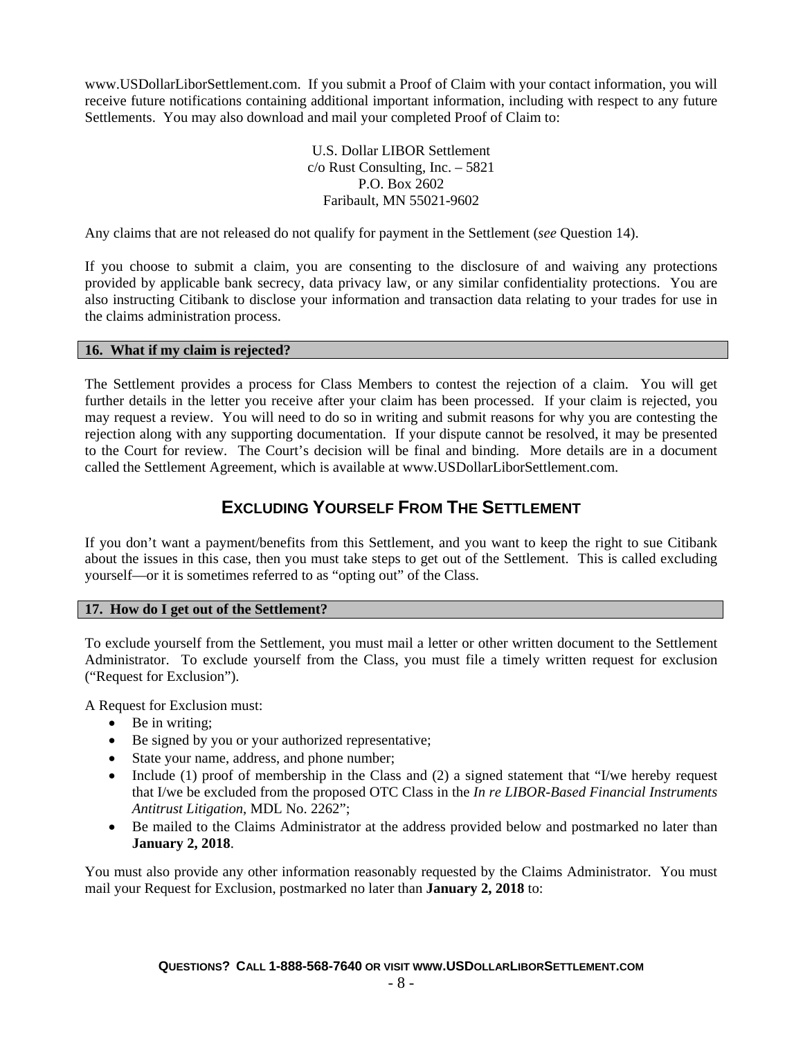www.USDollarLiborSettlement.com. If you submit a Proof of Claim with your contact information, you will receive future notifications containing additional important information, including with respect to any future Settlements. You may also download and mail your completed Proof of Claim to:

> U.S. Dollar LIBOR Settlement c/o Rust Consulting, Inc. – 5821 P.O. Box 2602 Faribault, MN 55021-9602

Any claims that are not released do not qualify for payment in the Settlement (*see* Question 14).

If you choose to submit a claim, you are consenting to the disclosure of and waiving any protections provided by applicable bank secrecy, data privacy law, or any similar confidentiality protections. You are also instructing Citibank to disclose your information and transaction data relating to your trades for use in the claims administration process.

### **16. What if my claim is rejected?**

The Settlement provides a process for Class Members to contest the rejection of a claim. You will get further details in the letter you receive after your claim has been processed. If your claim is rejected, you may request a review. You will need to do so in writing and submit reasons for why you are contesting the rejection along with any supporting documentation. If your dispute cannot be resolved, it may be presented to the Court for review. The Court's decision will be final and binding. More details are in a document called the Settlement Agreement, which is available at www.USDollarLiborSettlement.com.

# **EXCLUDING YOURSELF FROM THE SETTLEMENT**

If you don't want a payment/benefits from this Settlement, and you want to keep the right to sue Citibank about the issues in this case, then you must take steps to get out of the Settlement. This is called excluding yourself—or it is sometimes referred to as "opting out" of the Class.

# **17. How do I get out of the Settlement?**

To exclude yourself from the Settlement, you must mail a letter or other written document to the Settlement Administrator. To exclude yourself from the Class, you must file a timely written request for exclusion ("Request for Exclusion").

A Request for Exclusion must:

- Be in writing;
- Be signed by you or your authorized representative;
- State your name, address, and phone number;
- Include (1) proof of membership in the Class and (2) a signed statement that "I/we hereby request that I/we be excluded from the proposed OTC Class in the *In re LIBOR-Based Financial Instruments Antitrust Litigation*, MDL No. 2262";
- Be mailed to the Claims Administrator at the address provided below and postmarked no later than **January 2, 2018**.

You must also provide any other information reasonably requested by the Claims Administrator. You must mail your Request for Exclusion, postmarked no later than **January 2, 2018** to: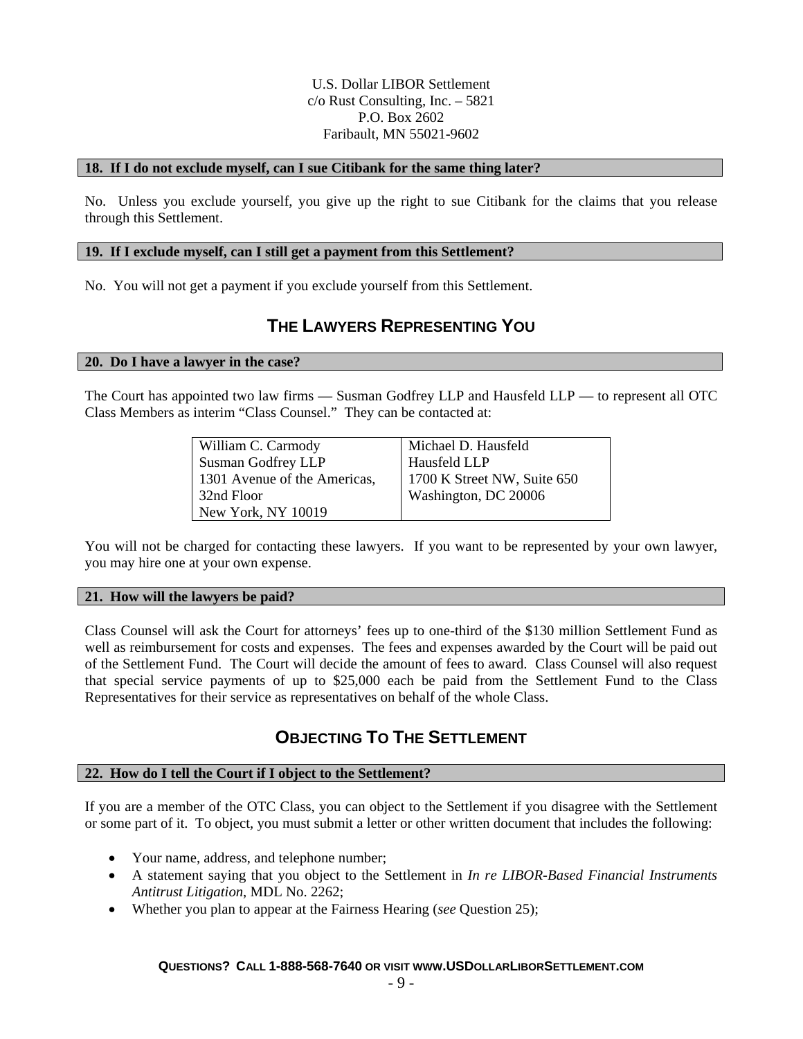# U.S. Dollar LIBOR Settlement c/o Rust Consulting, Inc. – 5821 P.O. Box 2602 Faribault, MN 55021-9602

#### **18. If I do not exclude myself, can I sue Citibank for the same thing later?**

No. Unless you exclude yourself, you give up the right to sue Citibank for the claims that you release through this Settlement.

#### **19. If I exclude myself, can I still get a payment from this Settlement?**

No. You will not get a payment if you exclude yourself from this Settlement.

# **THE LAWYERS REPRESENTING YOU**

#### **20. Do I have a lawyer in the case?**

The Court has appointed two law firms — Susman Godfrey LLP and Hausfeld LLP — to represent all OTC Class Members as interim "Class Counsel." They can be contacted at:

| William C. Carmody           | Michael D. Hausfeld         |  |
|------------------------------|-----------------------------|--|
| Susman Godfrey LLP           | Hausfeld LLP                |  |
| 1301 Avenue of the Americas, | 1700 K Street NW, Suite 650 |  |
| 32nd Floor                   | Washington, DC 20006        |  |
| New York, NY 10019           |                             |  |

You will not be charged for contacting these lawyers. If you want to be represented by your own lawyer, you may hire one at your own expense.

#### **21. How will the lawyers be paid?**

Class Counsel will ask the Court for attorneys' fees up to one-third of the \$130 million Settlement Fund as well as reimbursement for costs and expenses. The fees and expenses awarded by the Court will be paid out of the Settlement Fund. The Court will decide the amount of fees to award. Class Counsel will also request that special service payments of up to \$25,000 each be paid from the Settlement Fund to the Class Representatives for their service as representatives on behalf of the whole Class.

# **OBJECTING TO THE SETTLEMENT**

#### **22. How do I tell the Court if I object to the Settlement?**

If you are a member of the OTC Class, you can object to the Settlement if you disagree with the Settlement or some part of it. To object, you must submit a letter or other written document that includes the following:

- Your name, address, and telephone number;
- A statement saying that you object to the Settlement in *In re LIBOR-Based Financial Instruments Antitrust Litigation*, MDL No. 2262;
- Whether you plan to appear at the Fairness Hearing (*see* Question 25);

#### **QUESTIONS? CALL 1-888-568-7640 OR VISIT WWW.USDOLLARLIBORSETTLEMENT.COM**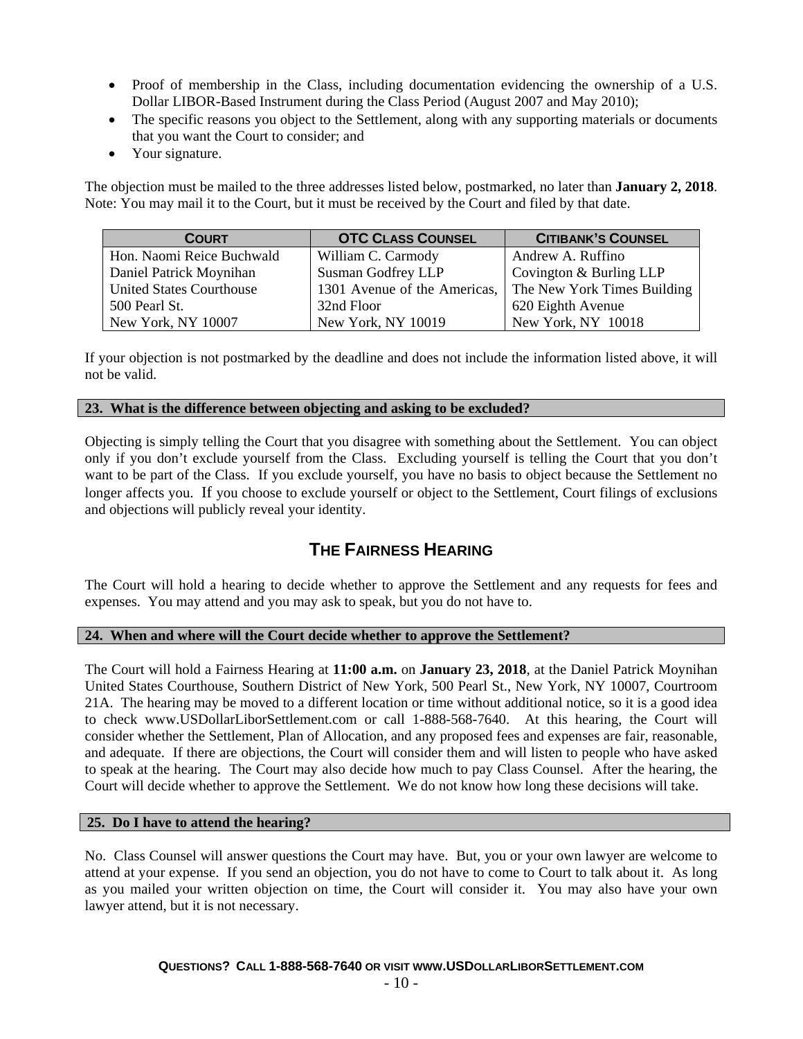- Proof of membership in the Class, including documentation evidencing the ownership of a U.S. Dollar LIBOR-Based Instrument during the Class Period (August 2007 and May 2010);
- The specific reasons you object to the Settlement, along with any supporting materials or documents that you want the Court to consider; and
- Your signature.

The objection must be mailed to the three addresses listed below, postmarked, no later than **January 2, 2018**. Note: You may mail it to the Court, but it must be received by the Court and filed by that date.

| <b>COURT</b>                    | <b>OTC CLASS COUNSEL</b>  | <b>CITIBANK'S COUNSEL</b>                                |
|---------------------------------|---------------------------|----------------------------------------------------------|
| Hon. Naomi Reice Buchwald       | William C. Carmody        | Andrew A. Ruffino                                        |
| Daniel Patrick Moynihan         | <b>Susman Godfrey LLP</b> | Covington & Burling LLP                                  |
| <b>United States Courthouse</b> |                           | 1301 Avenue of the Americas, The New York Times Building |
| 500 Pearl St.                   | 32nd Floor                | 620 Eighth Avenue                                        |
| New York, NY 10007              | New York, NY 10019        | New York, NY 10018                                       |

If your objection is not postmarked by the deadline and does not include the information listed above, it will not be valid.

# **23. What is the difference between objecting and asking to be excluded?**

Objecting is simply telling the Court that you disagree with something about the Settlement. You can object only if you don't exclude yourself from the Class. Excluding yourself is telling the Court that you don't want to be part of the Class. If you exclude yourself, you have no basis to object because the Settlement no longer affects you. If you choose to exclude yourself or object to the Settlement, Court filings of exclusions and objections will publicly reveal your identity.

# **THE FAIRNESS HEARING**

The Court will hold a hearing to decide whether to approve the Settlement and any requests for fees and expenses. You may attend and you may ask to speak, but you do not have to.

# **24. When and where will the Court decide whether to approve the Settlement?**

The Court will hold a Fairness Hearing at **11:00 a.m.** on **January 23, 2018**, at the Daniel Patrick Moynihan United States Courthouse, Southern District of New York, 500 Pearl St., New York, NY 10007, Courtroom 21A. The hearing may be moved to a different location or time without additional notice, so it is a good idea to check www.USDollarLiborSettlement.com or call 1-888-568-7640. At this hearing, the Court will consider whether the Settlement, Plan of Allocation, and any proposed fees and expenses are fair, reasonable, and adequate. If there are objections, the Court will consider them and will listen to people who have asked to speak at the hearing. The Court may also decide how much to pay Class Counsel. After the hearing, the Court will decide whether to approve the Settlement. We do not know how long these decisions will take.

# **25. Do I have to attend the hearing?**

No. Class Counsel will answer questions the Court may have. But, you or your own lawyer are welcome to attend at your expense. If you send an objection, you do not have to come to Court to talk about it. As long as you mailed your written objection on time, the Court will consider it. You may also have your own lawyer attend, but it is not necessary.